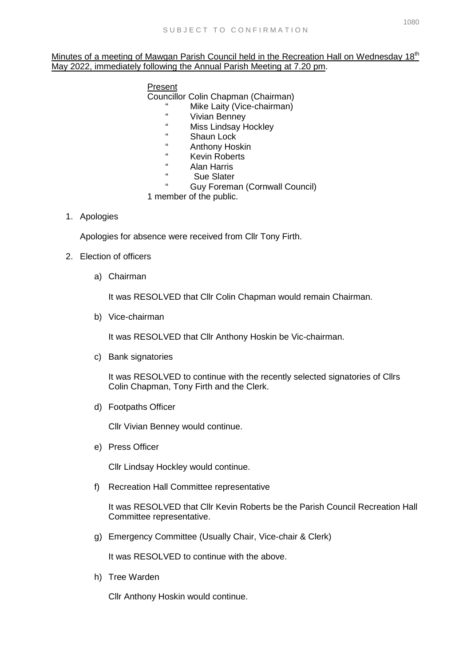## Minutes of a meeting of Mawgan Parish Council held in the Recreation Hall on Wednesday 18<sup>th</sup> May 2022, immediately following the Annual Parish Meeting at 7.20 pm.

## Present

Councillor Colin Chapman (Chairman)

- " Mike Laity (Vice-chairman)
- " Vivian Benney
- " Miss Lindsay Hockley
- " Shaun Lock
- " Anthony Hoskin
- " Kevin Roberts
- " Alan Harris
- " Sue Slater
	- Guy Foreman (Cornwall Council)

1 member of the public.

## 1. Apologies

Apologies for absence were received from Cllr Tony Firth.

## 2. Election of officers

a) Chairman

It was RESOLVED that Cllr Colin Chapman would remain Chairman.

b) Vice-chairman

It was RESOLVED that Cllr Anthony Hoskin be Vic-chairman.

c) Bank signatories

It was RESOLVED to continue with the recently selected signatories of Cllrs Colin Chapman, Tony Firth and the Clerk.

d) Footpaths Officer

Cllr Vivian Benney would continue.

e) Press Officer

Cllr Lindsay Hockley would continue.

f) Recreation Hall Committee representative

It was RESOLVED that Cllr Kevin Roberts be the Parish Council Recreation Hall Committee representative.

g) Emergency Committee (Usually Chair, Vice-chair & Clerk)

It was RESOLVED to continue with the above.

h) Tree Warden

Cllr Anthony Hoskin would continue.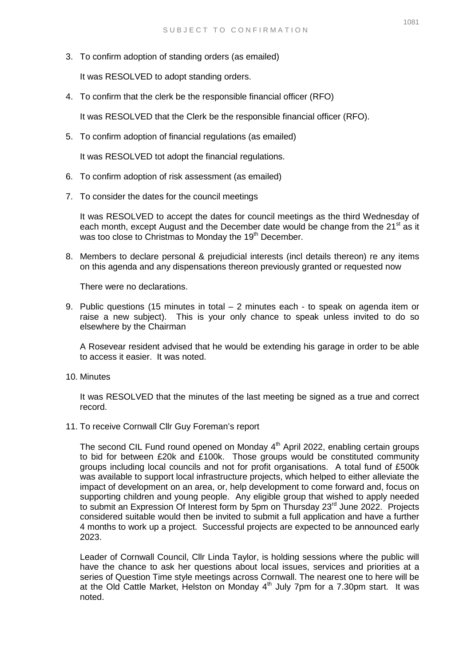3. To confirm adoption of standing orders (as emailed)

It was RESOLVED to adopt standing orders.

4. To confirm that the clerk be the responsible financial officer (RFO)

It was RESOLVED that the Clerk be the responsible financial officer (RFO).

5. To confirm adoption of financial regulations (as emailed)

It was RESOLVED tot adopt the financial regulations.

- 6. To confirm adoption of risk assessment (as emailed)
- 7. To consider the dates for the council meetings

It was RESOLVED to accept the dates for council meetings as the third Wednesday of each month, except August and the December date would be change from the  $21<sup>st</sup>$  as it was too close to Christmas to Monday the 19<sup>th</sup> December.

8. Members to declare personal & prejudicial interests (incl details thereon) re any items on this agenda and any dispensations thereon previously granted or requested now

There were no declarations.

9. Public questions (15 minutes in total – 2 minutes each - to speak on agenda item or raise a new subject). This is your only chance to speak unless invited to do so elsewhere by the Chairman

A Rosevear resident advised that he would be extending his garage in order to be able to access it easier. It was noted.

10. Minutes

It was RESOLVED that the minutes of the last meeting be signed as a true and correct record.

11. To receive Cornwall Cllr Guy Foreman's report

The second CIL Fund round opened on Monday  $4<sup>th</sup>$  April 2022, enabling certain groups to bid for between £20k and £100k. Those groups would be constituted community groups including local councils and not for profit organisations. A total fund of £500k was available to support local infrastructure projects, which helped to either alleviate the impact of development on an area, or, help development to come forward and, focus on supporting children and young people. Any eligible group that wished to apply needed to submit an Expression Of Interest form by 5pm on Thursday 23<sup>rd</sup> June 2022. Projects considered suitable would then be invited to submit a full application and have a further 4 months to work up a project. Successful projects are expected to be announced early 2023.

Leader of Cornwall Council, Cllr Linda Taylor, is holding sessions where the public will have the chance to ask her questions about local issues, services and priorities at a series of Question Time style meetings across Cornwall. The nearest one to here will be at the Old Cattle Market, Helston on Monday  $4<sup>th</sup>$  July 7pm for a 7.30pm start. It was noted.